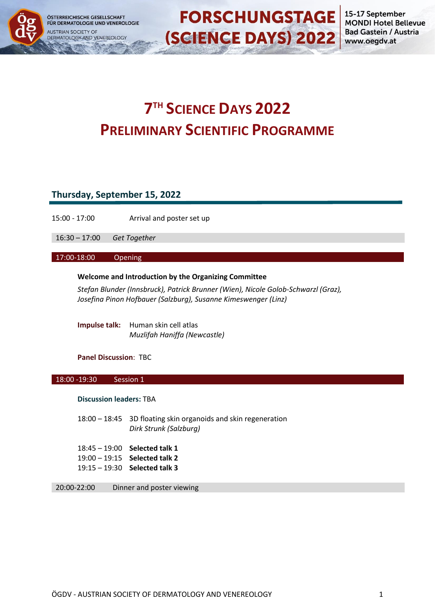



**FORSCHUNGSTAGE** 

# **7 TH SCIENCE DAYS 2022 PRELIMINARY SCIENTIFIC PROGRAMME**

# **Thursday, September 15, 2022**

15:00 - 17:00 Arrival and poster set up

16:30 – 17:00 *Get Together*

17:00-18:00 Opening

## **Welcome and Introduction by the Organizing Committee**

*Stefan Blunder (Innsbruck), Patrick Brunner (Wien), Nicole Golob-Schwarzl (Graz), Josefina Pinon Hofbauer (Salzburg), Susanne Kimeswenger (Linz)*

**Impulse talk:** Human skin cell atlas *Muzlifah Haniffa (Newcastle)*

## **Panel Discussion**: TBC

## 18:00 -19:30 Session 1

## **Discussion leaders:** TBA

18:00 – 18:45 3D floating skin organoids and skin regeneration *Dirk Strunk (Salzburg)*

| $18:45 - 19:00$ Selected talk 1 |
|---------------------------------|
| $19:00 - 19:15$ Selected talk 2 |
| $19:15 - 19:30$ Selected talk 3 |

20:00-22:00 Dinner and poster viewing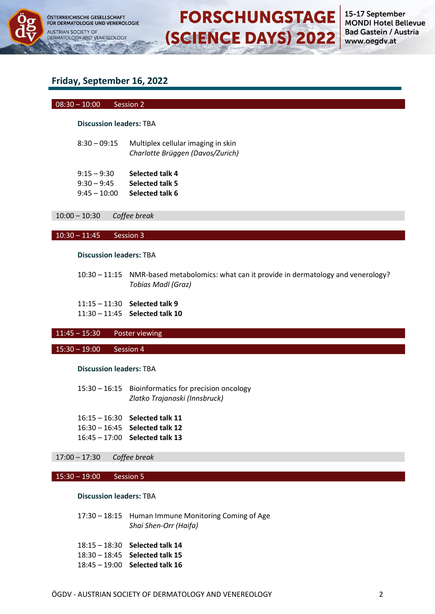

15-17 September **MONDI Hotel Bellevue Bad Gastein / Austria** www.oegdv.at

## **Friday, September 16, 2022**

#### 08:30 – 10:00 Session 2

## **Discussion leaders:** TBA

| $8:30 - 09:15$ | Multiplex cellular imaging in skin |
|----------------|------------------------------------|
|                | Charlotte Brüggen (Davos/Zurich)   |

| $9:15 - 9:30$  | Selected talk 4 |
|----------------|-----------------|
| $9:30 - 9:45$  | Selected talk 5 |
| $9:45 - 10:00$ | Selected talk 6 |

10:00 – 10:30 *Coffee break*

#### 10:30 – 11:45 Session 3

#### **Discussion leaders:** TBA

10:30 – 11:15 NMR-based metabolomics: what can it provide in dermatology and venerology? *Tobias Madl (Graz)*

**FORSCHUNGSTAGE** 

**(SCIENCE DAYS) 2022** 

11:15 – 11:30 **Selected talk 9**

11:30 – 11:45 **Selected talk 10**

## 11:45 – 15:30 Poster viewing

## 15:30 – 19:00 Session 4

#### **Discussion leaders:** TBA

15:30 – 16:15 Bioinformatics for precision oncology *Zlatko Trajanoski (Innsbruck)*

16:15 – 16:30 **Selected talk 11** 16:30 – 16:45 **Selected talk 12** 16:45 – 17:00 **Selected talk 13**

## 17:00 – 17:30 *Coffee break*

#### 15:30 – 19:00 Session 5

#### **Discussion leaders:** TBA

17:30 – 18:15 Human Immune Monitoring Coming of Age *Shai Shen-Orr (Haifa)*

18:15 – 18:30 **Selected talk 14** 18:30 – 18:45 **Selected talk 15** 18:45 – 19:00 **Selected talk 16**